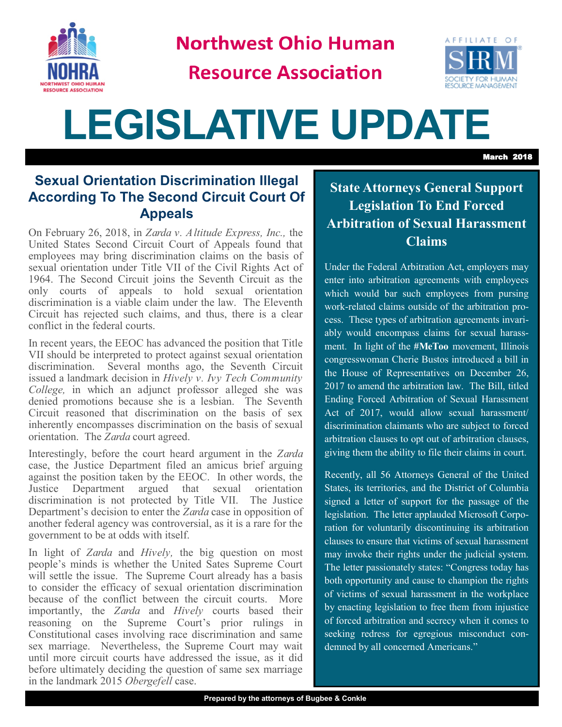

**Northwest Ohio Human** 

**Resource Association** 



# **LEGISLATIVE UPDATE**

March 2018

#### **Sexual Orientation Discrimination Illegal According To The Second Circuit Court Of Appeals**

On February 26, 2018, in *Zarda v. Altitude Express, Inc.,* the United States Second Circuit Court of Appeals found that employees may bring discrimination claims on the basis of sexual orientation under Title VII of the Civil Rights Act of 1964. The Second Circuit joins the Seventh Circuit as the only courts of appeals to hold sexual orientation discrimination is a viable claim under the law. The Eleventh Circuit has rejected such claims, and thus, there is a clear conflict in the federal courts.

In recent years, the EEOC has advanced the position that Title VII should be interpreted to protect against sexual orientation discrimination. Several months ago, the Seventh Circuit issued a landmark decision in *Hively v. Ivy Tech Community College,* in which an adjunct professor alleged she was denied promotions because she is a lesbian. The Seventh Circuit reasoned that discrimination on the basis of sex inherently encompasses discrimination on the basis of sexual orientation. The *Zarda* court agreed.

Interestingly, before the court heard argument in the *Zarda* case, the Justice Department filed an amicus brief arguing against the position taken by the EEOC. In other words, the Justice Department argued that sexual orientation discrimination is not protected by Title VII. The Justice Department's decision to enter the *Zarda* case in opposition of another federal agency was controversial, as it is a rare for the government to be at odds with itself.

In light of *Zarda* and *Hively,* the big question on most people's minds is whether the United Sates Supreme Court will settle the issue. The Supreme Court already has a basis to consider the efficacy of sexual orientation discrimination because of the conflict between the circuit courts. More importantly, the *Zarda* and *Hively* courts based their reasoning on the Supreme Court's prior rulings in Constitutional cases involving race discrimination and same sex marriage. Nevertheless, the Supreme Court may wait until more circuit courts have addressed the issue, as it did before ultimately deciding the question of same sex marriage in the landmark 2015 *Obergefell* case.

### **State Attorneys General Support Legislation To End Forced Arbitration of Sexual Harassment Claims**

Under the Federal Arbitration Act, employers may enter into arbitration agreements with employees which would bar such employees from pursing work-related claims outside of the arbitration process. These types of arbitration agreements invariably would encompass claims for sexual harassment. In light of the **#MeToo** movement, Illinois congresswoman Cherie Bustos introduced a bill in the House of Representatives on December 26, 2017 to amend the arbitration law. The Bill, titled Ending Forced Arbitration of Sexual Harassment Act of 2017, would allow sexual harassment/ discrimination claimants who are subject to forced arbitration clauses to opt out of arbitration clauses, giving them the ability to file their claims in court.

Recently, all 56 Attorneys General of the United States, its territories, and the District of Columbia signed a letter of support for the passage of the legislation. The letter applauded Microsoft Corporation for voluntarily discontinuing its arbitration clauses to ensure that victims of sexual harassment may invoke their rights under the judicial system. The letter passionately states: "Congress today has both opportunity and cause to champion the rights of victims of sexual harassment in the workplace by enacting legislation to free them from injustice of forced arbitration and secrecy when it comes to seeking redress for egregious misconduct condemned by all concerned Americans."